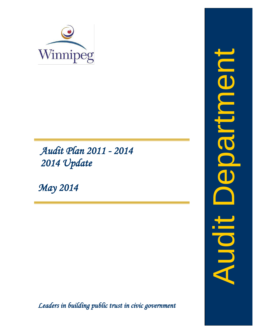

 *Audit Plan 2011 - 2014 2014 Update* 

*May 2014*

*Leaders in building public trust in civic government* 

Audit DepartmentInbentika **Siphy**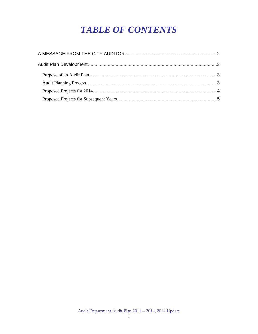# **TABLE OF CONTENTS**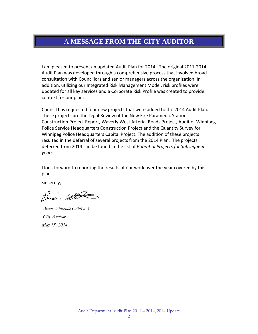#### <span id="page-3-0"></span>A **MESSAGE FROM THE CITY AUDITOR**

I am pleased to present an updated Audit Plan for 2014. The original 2011-2014 Audit Plan was developed through a comprehensive process that involved broad consultation with Councillors and senior managers across the organization. In addition, utilizing our Integrated Risk Management Model, risk profiles were updated for all key services and a Corporate Risk Profile was created to provide context for our plan.

Council has requested four new projects that were added to the 2014 Audit Plan. These projects are the Legal Review of the New Fire Paramedic Stations Construction Project Report, Waverly West Arterial Roads Project, Audit of Winnipeg Police Service Headquarters Construction Project and the Quantity Survey for Winnipeg Police Headquarters Capital Project. The addition of these projects resulted in the deferral of several projects from the 2014 Plan. The projects deferred from 2014 can be found in the list of *Potential Projects for Subsequent years*.

I look forward to reporting the results of our work over the year covered by this plan.

Sincerely,

Buai With

 *Brian Whiteside CA•CIA City Auditor May 15, 2014*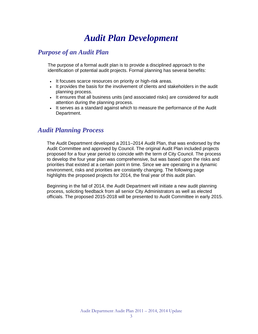## *Audit Plan Development*

#### <span id="page-4-1"></span><span id="page-4-0"></span>*Purpose of an Audit Plan*

The purpose of a formal audit plan is to provide a disciplined approach to the identification of potential audit projects. Formal planning has several benefits:

- It focuses scarce resources on priority or high-risk areas.
- It provides the basis for the involvement of clients and stakeholders in the audit planning process.
- It ensures that all business units (and associated risks) are considered for audit attention during the planning process.
- It serves as a standard against which to measure the performance of the Audit Department.

#### <span id="page-4-2"></span>*Audit Planning Process*

The Audit Department developed a 2011–2014 Audit Plan, that was endorsed by the Audit Committee and approved by Council. The original Audit Plan included projects proposed for a four year period to coincide with the term of City Council. The process to develop the four year plan was comprehensive, but was based upon the risks and priorities that existed at a certain point in time. Since we are operating in a dynamic environment, risks and priorities are constantly changing. The following page highlights the proposed projects for 2014, the final year of this audit plan.

Beginning in the fall of 2014, the Audit Department will initiate a new audit planning process, soliciting feedback from all senior City Administrators as well as elected officials. The proposed 2015-2018 will be presented to Audit Committee in early 2015.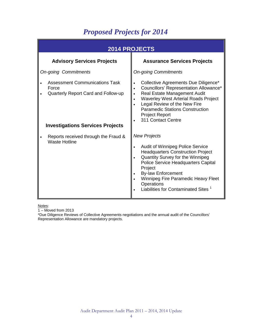### *Proposed Projects for 2014*

<span id="page-5-0"></span>

| <b>2014 PROJECTS</b>                                                                                                             |                                                                                                                                                                                                                                                                                                                                |  |
|----------------------------------------------------------------------------------------------------------------------------------|--------------------------------------------------------------------------------------------------------------------------------------------------------------------------------------------------------------------------------------------------------------------------------------------------------------------------------|--|
| <b>Advisory Services Projects</b>                                                                                                | <b>Assurance Services Projects</b>                                                                                                                                                                                                                                                                                             |  |
| <b>On-going Commitments</b>                                                                                                      | <b>On-going Commitments</b>                                                                                                                                                                                                                                                                                                    |  |
| <b>Assessment Communications Task</b><br>Force<br>Quarterly Report Card and Follow-up<br><b>Investigations Services Projects</b> | Collective Agreements Due Diligence*<br>Councillors' Representation Allowance*<br><b>Real Estate Management Audit</b><br>Waverley West Arterial Roads Project<br>Legal Review of the New Fire<br><b>Paramedic Stations Construction</b><br><b>Project Report</b><br>311 Contact Centre                                         |  |
| Reports received through the Fraud &<br><b>Waste Hotline</b>                                                                     | <b>New Projects</b><br>Audit of Winnipeg Police Service<br><b>Headquarters Construction Project</b><br>Quantity Survey for the Winnipeg<br>Police Service Headquarters Capital<br>Project<br><b>By-law Enforcement</b><br>Winnipeg Fire Paramedic Heavy Fleet<br>Operations<br>Liabilities for Contaminated Sites <sup>1</sup> |  |

Notes:

1 – Moved from 2013

\*Due Diligence Reviews of Collective Agreements negotiations and the annual audit of the Councillors' Representation Allowance are mandatory projects.